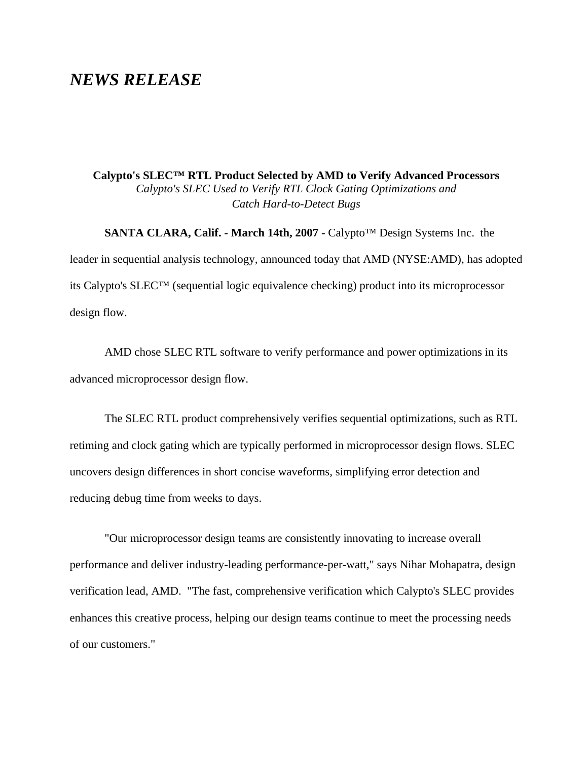## *NEWS RELEASE*

**Calypto's SLEC™ RTL Product Selected by AMD to Verify Advanced Processors**  *Calypto's SLEC Used to Verify RTL Clock Gating Optimizations and Catch Hard-to-Detect Bugs*

**SANTA CLARA, Calif. - March 14th, 2007 -** Calypto™ Design Systems Inc. the leader in sequential analysis technology, announced today that AMD (NYSE:AMD), has adopted its Calypto's SLEC™ (sequential logic equivalence checking) product into its microprocessor design flow.

AMD chose SLEC RTL software to verify performance and power optimizations in its advanced microprocessor design flow.

The SLEC RTL product comprehensively verifies sequential optimizations, such as RTL retiming and clock gating which are typically performed in microprocessor design flows. SLEC uncovers design differences in short concise waveforms, simplifying error detection and reducing debug time from weeks to days.

"Our microprocessor design teams are consistently innovating to increase overall performance and deliver industry-leading performance-per-watt," says Nihar Mohapatra, design verification lead, AMD. "The fast, comprehensive verification which Calypto's SLEC provides enhances this creative process, helping our design teams continue to meet the processing needs of our customers."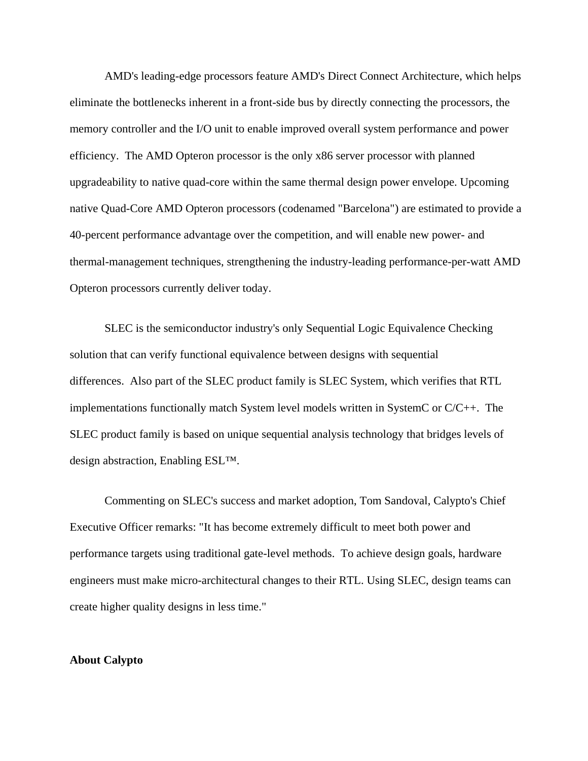AMD's leading-edge processors feature AMD's Direct Connect Architecture, which helps eliminate the bottlenecks inherent in a front-side bus by directly connecting the processors, the memory controller and the I/O unit to enable improved overall system performance and power efficiency. The AMD Opteron processor is the only x86 server processor with planned upgradeability to native quad-core within the same thermal design power envelope. Upcoming native Quad-Core AMD Opteron processors (codenamed "Barcelona") are estimated to provide a 40-percent performance advantage over the competition, and will enable new power- and thermal-management techniques, strengthening the industry-leading performance-per-watt AMD Opteron processors currently deliver today.

SLEC is the semiconductor industry's only Sequential Logic Equivalence Checking solution that can verify functional equivalence between designs with sequential differences. Also part of the SLEC product family is SLEC System, which verifies that RTL implementations functionally match System level models written in SystemC or C/C++. The SLEC product family is based on unique sequential analysis technology that bridges levels of design abstraction, Enabling ESL™.

Commenting on SLEC's success and market adoption, Tom Sandoval, Calypto's Chief Executive Officer remarks: "It has become extremely difficult to meet both power and performance targets using traditional gate-level methods. To achieve design goals, hardware engineers must make micro-architectural changes to their RTL. Using SLEC, design teams can create higher quality designs in less time."

## **About Calypto**